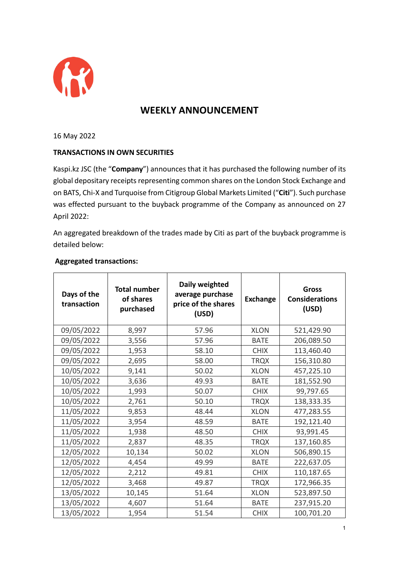

## **WEEKLY ANNOUNCEMENT**

16 May 2022

## **TRANSACTIONS IN OWN SECURITIES**

Kaspi.kz JSC (the "**Company**") announces that it has purchased the following number of its global depositary receipts representing common shares on the London Stock Exchange and on BATS, Chi-X and Turquoise from Citigroup Global Markets Limited ("**Citi**"). Such purchase was effected pursuant to the buyback programme of the Company as announced on 27 April 2022:

An aggregated breakdown of the trades made by Citi as part of the buyback programme is detailed below:

## **Aggregated transactions:**

| Days of the<br>transaction | <b>Total number</b><br>of shares<br>purchased | Daily weighted<br>average purchase<br>price of the shares<br>(USD) | <b>Exchange</b> | <b>Gross</b><br><b>Considerations</b><br>(USD) |
|----------------------------|-----------------------------------------------|--------------------------------------------------------------------|-----------------|------------------------------------------------|
| 09/05/2022                 | 8,997                                         | 57.96                                                              | <b>XLON</b>     | 521,429.90                                     |
| 09/05/2022                 | 3,556                                         | 57.96                                                              | <b>BATE</b>     | 206,089.50                                     |
| 09/05/2022                 | 1,953                                         | 58.10                                                              | <b>CHIX</b>     | 113,460.40                                     |
| 09/05/2022                 | 2,695                                         | 58.00                                                              | <b>TRQX</b>     | 156,310.80                                     |
| 10/05/2022                 | 9,141                                         | 50.02                                                              | <b>XLON</b>     | 457,225.10                                     |
| 10/05/2022                 | 3,636                                         | 49.93                                                              | <b>BATE</b>     | 181,552.90                                     |
| 10/05/2022                 | 1,993                                         | 50.07                                                              | <b>CHIX</b>     | 99,797.65                                      |
| 10/05/2022                 | 2,761                                         | 50.10                                                              | <b>TRQX</b>     | 138,333.35                                     |
| 11/05/2022                 | 9,853                                         | 48.44                                                              | <b>XLON</b>     | 477,283.55                                     |
| 11/05/2022                 | 3,954                                         | 48.59                                                              | <b>BATE</b>     | 192,121.40                                     |
| 11/05/2022                 | 1,938                                         | 48.50                                                              | <b>CHIX</b>     | 93,991.45                                      |
| 11/05/2022                 | 2,837                                         | 48.35                                                              | <b>TRQX</b>     | 137,160.85                                     |
| 12/05/2022                 | 10,134                                        | 50.02                                                              | <b>XLON</b>     | 506,890.15                                     |
| 12/05/2022                 | 4,454                                         | 49.99                                                              | <b>BATE</b>     | 222,637.05                                     |
| 12/05/2022                 | 2,212                                         | 49.81                                                              | <b>CHIX</b>     | 110,187.65                                     |
| 12/05/2022                 | 3,468                                         | 49.87                                                              | <b>TRQX</b>     | 172,966.35                                     |
| 13/05/2022                 | 10,145                                        | 51.64                                                              | <b>XLON</b>     | 523,897.50                                     |
| 13/05/2022                 | 4,607                                         | 51.64                                                              | <b>BATE</b>     | 237,915.20                                     |
| 13/05/2022                 | 1,954                                         | 51.54                                                              | <b>CHIX</b>     | 100,701.20                                     |